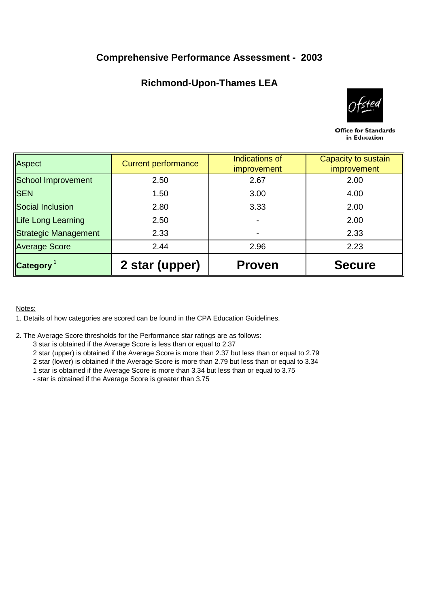## **Comprehensive Performance Assessment - 2003**

# **Richmond-Upon-Thames LEA**



Office for Standards in Education

| Aspect               | <b>Current performance</b> | Indications of<br><i>improvement</i> | Capacity to sustain<br><i>improvement</i> |  |
|----------------------|----------------------------|--------------------------------------|-------------------------------------------|--|
|                      |                            |                                      |                                           |  |
| School Improvement   | 2.50                       | 2.67                                 | 2.00                                      |  |
| <b>SEN</b>           | 1.50                       | 3.00                                 | 4.00                                      |  |
| Social Inclusion     | 2.80                       | 3.33                                 | 2.00                                      |  |
| Life Long Learning   | 2.50                       |                                      | 2.00                                      |  |
| Strategic Management | 2.33                       |                                      | 2.33                                      |  |
| <b>Average Score</b> | 2.44                       | 2.96                                 | 2.23                                      |  |
| <b>Category</b>      | 2 star (upper)             | <b>Proven</b>                        | <b>Secure</b>                             |  |

### Notes:

1. Details of how categories are scored can be found in the CPA Education Guidelines.

- 2. The Average Score thresholds for the Performance star ratings are as follows:
	- 3 star is obtained if the Average Score is less than or equal to 2.37
	- 2 star (upper) is obtained if the Average Score is more than 2.37 but less than or equal to 2.79
	- 2 star (lower) is obtained if the Average Score is more than 2.79 but less than or equal to 3.34
	- 1 star is obtained if the Average Score is more than 3.34 but less than or equal to 3.75
	- star is obtained if the Average Score is greater than 3.75